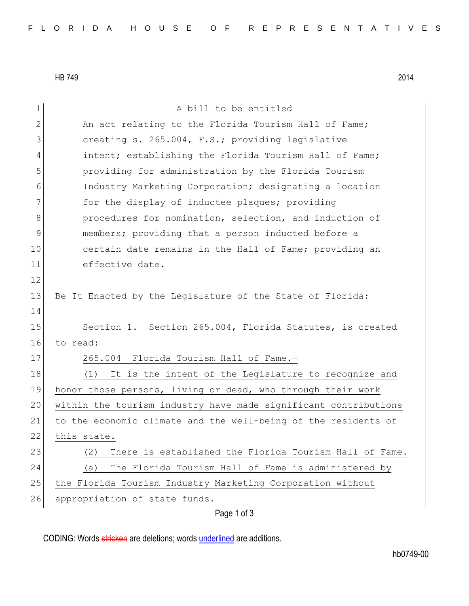HB 749 2014

1 a bill to be entitled 2 An act relating to the Florida Tourism Hall of Fame; 3 creating s. 265.004, F.S.; providing legislative 4 intent; establishing the Florida Tourism Hall of Fame; 5 providing for administration by the Florida Tourism 6 Industry Marketing Corporation; designating a location 7 **for the display of inductee plaques;** providing 8 8 procedures for nomination, selection, and induction of 9 members; providing that a person inducted before a 10 certain date remains in the Hall of Fame; providing an 11 effective date. 12 13 Be It Enacted by the Legislature of the State of Florida: 14 15 Section 1. Section 265.004, Florida Statutes, is created 16 to read: 17 265.004 Florida Tourism Hall of Fame.-18 (1) It is the intent of the Legislature to recognize and 19 honor those persons, living or dead, who through their work 20 within the tourism industry have made significant contributions 21 to the economic climate and the well-being of the residents of 22 this state. 23 (2) There is established the Florida Tourism Hall of Fame. 24 (a) The Florida Tourism Hall of Fame is administered by 25 the Florida Tourism Industry Marketing Corporation without 26 appropriation of state funds.

Page 1 of 3

CODING: Words stricken are deletions; words underlined are additions.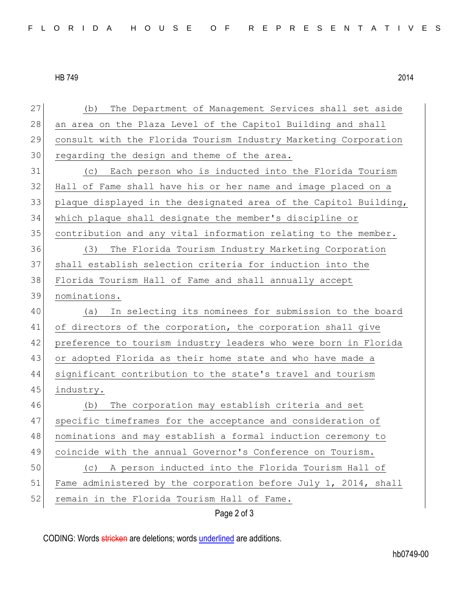HB 749 2014

| 27 | The Department of Management Services shall set aside<br>(b)     |
|----|------------------------------------------------------------------|
| 28 | an area on the Plaza Level of the Capitol Building and shall     |
| 29 | consult with the Florida Tourism Industry Marketing Corporation  |
| 30 | regarding the design and theme of the area.                      |
| 31 | Each person who is inducted into the Florida Tourism<br>(C)      |
| 32 | Hall of Fame shall have his or her name and image placed on a    |
| 33 | plaque displayed in the designated area of the Capitol Building, |
| 34 | which plaque shall designate the member's discipline or          |
| 35 | contribution and any vital information relating to the member.   |
| 36 | (3)<br>The Florida Tourism Industry Marketing Corporation        |
| 37 | shall establish selection criteria for induction into the        |
| 38 | Florida Tourism Hall of Fame and shall annually accept           |
| 39 | nominations.                                                     |
| 40 | In selecting its nominees for submission to the board<br>(a)     |
| 41 | of directors of the corporation, the corporation shall give      |
| 42 | preference to tourism industry leaders who were born in Florida  |
| 43 | or adopted Florida as their home state and who have made a       |
| 44 | significant contribution to the state's travel and tourism       |
| 45 | industry.                                                        |
| 46 | The corporation may establish criteria and set<br>(b)            |
| 47 | specific timeframes for the acceptance and consideration of      |
| 48 | nominations and may establish a formal induction ceremony to     |
| 49 | coincide with the annual Governor's Conference on Tourism.       |
| 50 | A person inducted into the Florida Tourism Hall of<br>(C)        |
| 51 | Fame administered by the corporation before July 1, 2014, shall  |
| 52 | remain in the Florida Tourism Hall of Fame.                      |
|    | Page 2 of 3                                                      |

CODING: Words stricken are deletions; words underlined are additions.